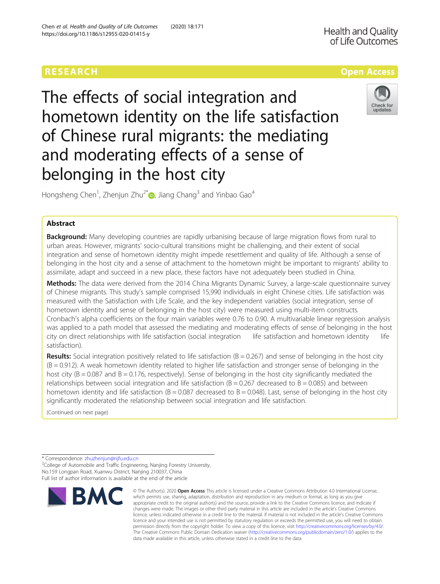# RESEARCH **RESEARCH CONSUMING THE CONSUMING THE CONSUMING TENS**

The effects of social integration and hometown identity on the life satisfaction of Chinese rural migrants: the mediating and moderating effects of a sense of belonging in the host city



Hongsheng Chen<sup>1</sup>, Zhenjun Zhu<sup>2\*</sup>. Jiang Chang<sup>3</sup> and Yinbao Gao<sup>4</sup>

## Abstract

**Background:** Many developing countries are rapidly urbanising because of large migration flows from rural to urban areas. However, migrants' socio-cultural transitions might be challenging, and their extent of social integration and sense of hometown identity might impede resettlement and quality of life. Although a sense of belonging in the host city and a sense of attachment to the hometown might be important to migrants' ability to assimilate, adapt and succeed in a new place, these factors have not adequately been studied in China.

Methods: The data were derived from the 2014 China Migrants Dynamic Survey, a large-scale questionnaire survey of Chinese migrants. This study's sample comprised 15,990 individuals in eight Chinese cities. Life satisfaction was measured with the Satisfaction with Life Scale, and the key independent variables (social integration, sense of hometown identity and sense of belonging in the host city) were measured using multi-item constructs. Cronbach's alpha coefficients on the four main variables were 0.76 to 0.90. A multivariable linear regression analysis was applied to a path model that assessed the mediating and moderating effects of sense of belonging in the host city on direct relationships with life satisfaction (social integration life satisfaction and hometown identity life satisfaction).

**Results:** Social integration positively related to life satisfaction  $(B = 0.267)$  and sense of belonging in the host city  $(B = 0.912)$ . A weak hometown identity related to higher life satisfaction and stronger sense of belonging in the host city ( $B = 0.087$  and  $B = 0.176$ , respectively). Sense of belonging in the host city significantly mediated the relationships between social integration and life satisfaction  $(B = 0.267$  decreased to  $B = 0.085$ ) and between hometown identity and life satisfaction ( $B = 0.087$  decreased to  $B = 0.048$ ). Last, sense of belonging in the host city significantly moderated the relationship between social integration and life satisfaction.

(Continued on next page)

\* Correspondence: [zhuzhenjun@njfu.edu.cn](mailto:zhuzhenjun@njfu.edu.cn) <sup>2</sup>

<sup>2</sup>College of Automobile and Traffic Engineering, Nanjing Forestry University, No.159 Longpan Road, Xuanwu District, Nanjing 210037, China Full list of author information is available at the end of the article



<sup>©</sup> The Author(s), 2020 **Open Access** This article is licensed under a Creative Commons Attribution 4.0 International License, which permits use, sharing, adaptation, distribution and reproduction in any medium or format, as long as you give appropriate credit to the original author(s) and the source, provide a link to the Creative Commons licence, and indicate if changes were made. The images or other third party material in this article are included in the article's Creative Commons licence, unless indicated otherwise in a credit line to the material. If material is not included in the article's Creative Commons licence and your intended use is not permitted by statutory regulation or exceeds the permitted use, you will need to obtain permission directly from the copyright holder. To view a copy of this licence, visit [http://creativecommons.org/licenses/by/4.0/.](http://creativecommons.org/licenses/by/4.0/) The Creative Commons Public Domain Dedication waiver [\(http://creativecommons.org/publicdomain/zero/1.0/](http://creativecommons.org/publicdomain/zero/1.0/)) applies to the data made available in this article, unless otherwise stated in a credit line to the data.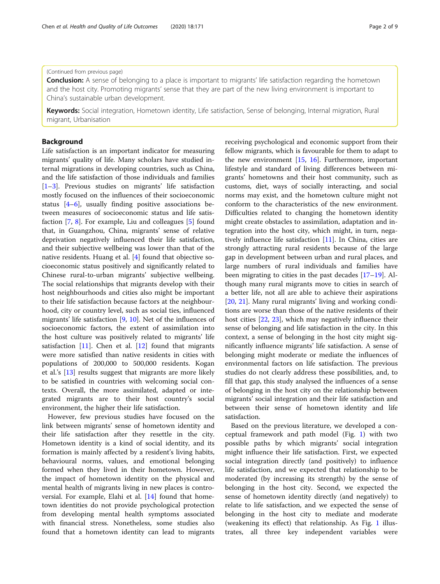## (Continued from previous page)

**Conclusion:** A sense of belonging to a place is important to migrants' life satisfaction regarding the hometown and the host city. Promoting migrants' sense that they are part of the new living environment is important to China's sustainable urban development.

Keywords: Social integration, Hometown identity, Life satisfaction, Sense of belonging, Internal migration, Rural migrant, Urbanisation

## Background

Life satisfaction is an important indicator for measuring migrants' quality of life. Many scholars have studied internal migrations in developing countries, such as China, and the life satisfaction of those individuals and families [[1](#page-8-0)–[3\]](#page-8-0). Previous studies on migrants' life satisfaction mostly focused on the influences of their socioeconomic status [[4](#page-8-0)–[6](#page-8-0)], usually finding positive associations between measures of socioeconomic status and life satisfaction [\[7](#page-8-0), [8](#page-8-0)]. For example, Liu and colleagues [\[5](#page-8-0)] found that, in Guangzhou, China, migrants' sense of relative deprivation negatively influenced their life satisfaction, and their subjective wellbeing was lower than that of the native residents. Huang et al. [[4\]](#page-8-0) found that objective socioeconomic status positively and significantly related to Chinese rural-to-urban migrants' subjective wellbeing. The social relationships that migrants develop with their host neighbourhoods and cities also might be important to their life satisfaction because factors at the neighbourhood, city or country level, such as social ties, influenced migrants' life satisfaction [[9,](#page-8-0) [10\]](#page-8-0). Net of the influences of socioeconomic factors, the extent of assimilation into the host culture was positively related to migrants' life satisfaction  $[11]$  $[11]$ . Chen et al.  $[12]$  $[12]$  found that migrants were more satisfied than native residents in cities with populations of 200,000 to 500,000 residents. Kogan et al.'s [\[13](#page-8-0)] results suggest that migrants are more likely to be satisfied in countries with welcoming social contexts. Overall, the more assimilated, adapted or integrated migrants are to their host country's social environment, the higher their life satisfaction.

However, few previous studies have focused on the link between migrants' sense of hometown identity and their life satisfaction after they resettle in the city. Hometown identity is a kind of social identity, and its formation is mainly affected by a resident's living habits, behavioural norms, values, and emotional belonging formed when they lived in their hometown. However, the impact of hometown identity on the physical and mental health of migrants living in new places is controversial. For example, Elahi et al. [[14\]](#page-8-0) found that hometown identities do not provide psychological protection from developing mental health symptoms associated with financial stress. Nonetheless, some studies also found that a hometown identity can lead to migrants receiving psychological and economic support from their fellow migrants, which is favourable for them to adapt to the new environment [\[15,](#page-8-0) [16](#page-8-0)]. Furthermore, important lifestyle and standard of living differences between migrants' hometowns and their host community, such as customs, diet, ways of socially interacting, and social norms may exist, and the hometown culture might not conform to the characteristics of the new environment. Difficulties related to changing the hometown identity might create obstacles to assimilation, adaptation and integration into the host city, which might, in turn, negatively influence life satisfaction  $[11]$  $[11]$ . In China, cities are strongly attracting rural residents because of the large gap in development between urban and rural places, and large numbers of rural individuals and families have been migrating to cities in the past decades [\[17](#page-8-0)–[19\]](#page-8-0). Although many rural migrants move to cities in search of a better life, not all are able to achieve their aspirations [[20,](#page-8-0) [21\]](#page-8-0). Many rural migrants' living and working conditions are worse than those of the native residents of their host cities [[22,](#page-8-0) [23](#page-8-0)], which may negatively influence their sense of belonging and life satisfaction in the city. In this context, a sense of belonging in the host city might significantly influence migrants' life satisfaction. A sense of belonging might moderate or mediate the influences of environmental factors on life satisfaction. The previous studies do not clearly address these possibilities, and, to fill that gap, this study analysed the influences of a sense of belonging in the host city on the relationship between migrants' social integration and their life satisfaction and between their sense of hometown identity and life satisfaction.

Based on the previous literature, we developed a conceptual framework and path model (Fig. [1\)](#page-2-0) with two possible paths by which migrants' social integration might influence their life satisfaction. First, we expected social integration directly (and positively) to influence life satisfaction, and we expected that relationship to be moderated (by increasing its strength) by the sense of belonging in the host city. Second, we expected the sense of hometown identity directly (and negatively) to relate to life satisfaction, and we expected the sense of belonging in the host city to mediate and moderate (weakening its effect) that relationship. As Fig. [1](#page-2-0) illustrates, all three key independent variables were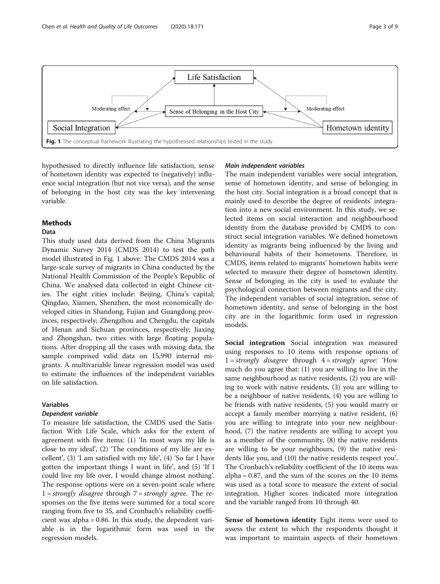<span id="page-2-0"></span>

hypothesised to directly influence life satisfaction, sense of hometown identity was expected to (negatively) influence social integration (but not vice versa), and the sense of belonging in the host city was the key intervening variable.

## Methods

## Data

This study used data derived from the China Migrants Dynamic Survey 2014 (CMDS 2014) to test the path model illustrated in Fig. 1 above. The CMDS 2014 was a large-scale survey of migrants in China conducted by the National Health Commission of the People's Republic of China. We analysed data collected in eight Chinese cities. The eight cities include: Beijing, China's capital; Qingdao, Xiamen, Shenzhen, the most economically developed cities in Shandong, Fujian and Guangdong provinces, respectively; Zhengzhou and Chengdu, the capitals of Henan and Sichuan provinces, respectively; Jiaxing and Zhongshan, two cities with large floating populations. After dropping all the cases with missing data, the sample comprised valid data on 15,990 internal migrants. A multivariable linear regression model was used to estimate the influences of the independent variables on life satisfaction.

## Variables

## Dependent variable

To measure life satisfaction, the CMDS used the Satisfaction With Life Scale, which asks for the extent of agreement with five items: (1) 'In most ways my life is close to my ideal', (2) 'The conditions of my life are excellent', (3) 'I am satisfied with my life', (4) 'So far I have gotten the important things I want in life', and (5) 'If I could live my life over, I would change almost nothing'. The response options were on a seven-point scale where  $1 = strongly \, disagree \, through \, 7 = strongly \, agree.$  The responses on the five items were summed for a total score ranging from five to 35, and Cronbach's reliability coefficient was alpha = 0.86. In this study, the dependent variable is in the logarithmic form was used in the regression models.

## Main independent variables

The main independent variables were social integration, sense of hometown identity, and sense of belonging in the host city. Social integration is a broad concept that is mainly used to describe the degree of residents' integration into a new social environment. In this study, we selected items on social interaction and neighbourhood identity from the database provided by CMDS to construct social integration variables. We defined hometown identity as migrants being influenced by the living and behavioural habits of their hometowns. Therefore, in CMDS, items related to migrants' hometown habits were selected to measure their degree of hometown identity. Sense of belonging in the city is used to evaluate the psychological connection between migrants and the city. The independent variables of social integration, sense of hometown identity, and sense of belonging in the host city are in the logarithmic form used in regression models.

Social integration Social integration was measured using responses to 10 items with response options of  $1 = strongly$  disagree through  $4 = strongly$  agree: 'How much do you agree that: (1) you are willing to live in the same neighbourhood as native residents, (2) you are willing to work with native residents, (3) you are willing to be a neighbour of native residents, (4) you are willing to be friends with native residents, (5) you would marry or accept a family member marrying a native resident, (6) you are willing to integrate into your new neighbourhood, (7) the native residents are willing to accept you as a member of the community, (8) the native residents are willing to be your neighbours, (9) the native residents like you, and (10) the native residents respect you'. The Cronbach's reliability coefficient of the 10 items was  $alpha = 0.87$ , and the sum of the scores on the 10 items was used as a total score to measure the extent of social integration. Higher scores indicated more integration and the variable ranged from 10 through 40.

Sense of hometown identity Eight items were used to assess the extent to which the respondents thought it was important to maintain aspects of their hometown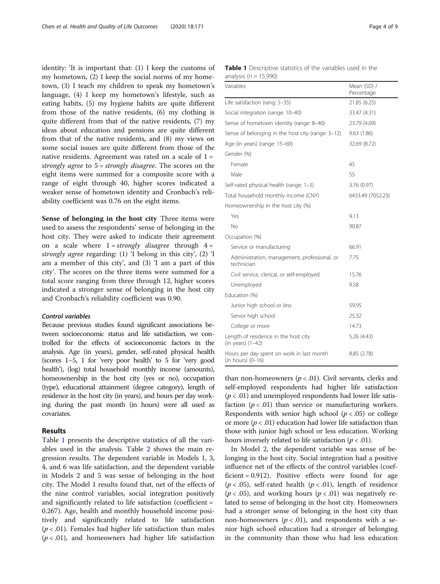identity: 'It is important that: (1) I keep the customs of my hometown, (2) I keep the social norms of my hometown, (3) I teach my children to speak my hometown's language, (4) I keep my hometown's lifestyle, such as eating habits, (5) my hygiene habits are quite different from those of the native residents, (6) my clothing is quite different from that of the native residents, (7) my ideas about education and pensions are quite different from that of the native residents, and (8) my views on some social issues are quite different from those of the native residents. Agreement was rated on a scale of  $1 =$ strongly agree to 5 = strongly disagree. The scores on the eight items were summed for a composite score with a range of eight through 40, higher scores indicated a weaker sense of hometown identity and Cronbach's reliability coefficient was 0.76 on the eight items.

Sense of belonging in the host city Three items were used to assess the respondents' sense of belonging in the host city. They were asked to indicate their agreement on a scale where  $1 = strongly$  disagree through  $4 =$ strongly agree regarding: (1) 'I belong in this city', (2) 'I am a member of this city', and (3) 'I am a part of this city'. The scores on the three items were summed for a total score ranging from three through 12, higher scores indicated a stronger sense of belonging in the host city and Cronbach's reliability coefficient was 0.90.

## Control variables

Because previous studies found significant associations between socioeconomic status and life satisfaction, we controlled for the effects of socioeconomic factors in the analysis. Age (in years), gender, self-rated physical health (scores 1–5, 1 for 'very poor health' to 5 for 'very good health'), (log) total household monthly income (amounts), homeownership in the host city (yes or no), occupation (type), educational attainment (degree category), length of residence in the host city (in years), and hours per day working during the past month (in hours) were all used as covariates.

## Results

Table 1 presents the descriptive statistics of all the variables used in the analysis. Table [2](#page-4-0) shows the main regression results. The dependent variable in Models 1, 3, 4, and 6 was life satisfaction, and the dependent variable in Models 2 and 5 was sense of belonging in the host city. The Model 1 results found that, net of the effects of the nine control variables, social integration positively and significantly related to life satisfaction (coefficient = 0.267). Age, health and monthly household income positively and significantly related to life satisfaction  $(p < .01)$ . Females had higher life satisfaction than males  $(p < .01)$ , and homeowners had higher life satisfaction

| <b>Table 1</b> Descriptive statistics of the variables used in the |  |  |  |
|--------------------------------------------------------------------|--|--|--|
| analysis ( $n = 15,990$ )                                          |  |  |  |

| Variables                                                      | Mean (SD) /<br>Percentage |
|----------------------------------------------------------------|---------------------------|
| Life satisfaction (rang: 5-35)                                 | 21.85 (6.25)              |
| Social integration (range: 10-40)                              | 33.47 (4.31)              |
| Sense of hometown identity (range: 8-40)                       | 23.79 (4.09)              |
| Sense of belonging in the host city (range: 3-12)              | 9.63(1.86)                |
| Age (in years) (range: 15-60)                                  | 32.69 (8.72)              |
| Gender (%)                                                     |                           |
| Female                                                         | 45                        |
| Male                                                           | 55                        |
| Self-rated physical health (range: 1-5)                        | 3.76 (0.97)               |
| Total household monthly income (CNY)                           | 6433.49 (7052.23)         |
| Homeownership in the host city (%)                             |                           |
| Yes                                                            | 9.13                      |
| No                                                             | 90.87                     |
| Occupation (%)                                                 |                           |
| Service or manufacturing                                       | 66.91                     |
| Administration, management, professional, or<br>technician     | 7.75                      |
| Civil service, clerical, or self-employed                      | 15.76                     |
| Unemployed                                                     | 9.58                      |
| Education (%)                                                  |                           |
| Junior high school or less                                     | 59.95                     |
| Senior high school                                             | 25.32                     |
| College or more                                                | 14.73                     |
| Length of residence in the host city<br>$(in years)$ $(1-42)$  | 5.26 (4.43)               |
| Hours per day spent on work in last month<br>(in hours) (0-16) | 8.85 (2.78)               |

than non-homeowners ( $p < .01$ ). Civil servants, clerks and self-employed respondents had higher life satisfaction  $(p < .01)$  and unemployed respondents had lower life satisfaction ( $p < .01$ ) than service or manufacturing workers. Respondents with senior high school ( $p < .05$ ) or college or more ( $p < .01$ ) education had lower life satisfaction than those with junior high school or less education. Working hours inversely related to life satisfaction ( $p < .01$ ).

In Model 2, the dependent variable was sense of belonging in the host city. Social integration had a positive influence net of the effects of the control variables (coefficient = 0.912). Positive effects were found for age  $(p < .05)$ , self-rated health  $(p < .01)$ , length of residence  $(p < .05)$ , and working hours  $(p < .01)$  was negatively related to sense of belonging in the host city. Homeowners had a stronger sense of belonging in the host city than non-homeowners ( $p < .01$ ), and respondents with a senior high school education had a stronger of belonging in the community than those who had less education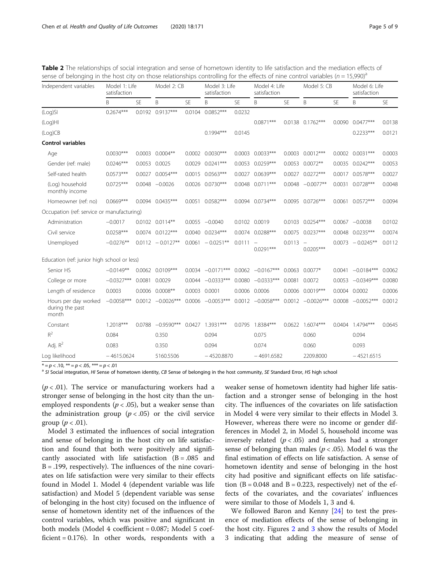| being or belonging in the nost city on those relationships controlling for the eneces or mire control vanables (n = 15,550)<br>Independent variables | Model 1: Life<br>satisfaction |        | Model 2: CB          |           | satisfaction         | Model 3: Life |                     | Model 4: Life<br>satisfaction |                                         | Model 5: CB |                      | Model 6: Life<br>satisfaction |  |
|------------------------------------------------------------------------------------------------------------------------------------------------------|-------------------------------|--------|----------------------|-----------|----------------------|---------------|---------------------|-------------------------------|-----------------------------------------|-------------|----------------------|-------------------------------|--|
|                                                                                                                                                      | B                             | SF     | B                    | <b>SE</b> | B                    | <b>SE</b>     | B                   | <b>SE</b>                     | B                                       | <b>SE</b>   | Β                    | <b>SE</b>                     |  |
| (Log)SI                                                                                                                                              | $0.2674***$                   |        | 0.0192 0.9137***     |           | 0.0104 0.0852***     | 0.0232        |                     |                               |                                         |             |                      |                               |  |
| (Log)HI                                                                                                                                              |                               |        |                      |           |                      |               | $0.0871***$         |                               | 0.0138 0.1762***                        | 0.0090      | $0.0477***$          | 0.0138                        |  |
| (Log)CB                                                                                                                                              |                               |        |                      |           | $0.1994***$          | 0.0145        |                     |                               |                                         |             | $0.2233***$          | 0.0121                        |  |
| <b>Control variables</b>                                                                                                                             |                               |        |                      |           |                      |               |                     |                               |                                         |             |                      |                               |  |
| Age                                                                                                                                                  | $0.0030***$                   |        | $0.0003$ $0.0004**$  |           | $0.0002$ $0.0030***$ | 0.0003        | $0.0033***$         |                               | $0.0003$ $0.0012***$                    |             | $0.0002$ $0.0031***$ | 0.0003                        |  |
| Gender (ref: male)                                                                                                                                   | $0.0246***$                   | 0.0053 | 0.0025               |           | $0.0029$ $0.0241***$ | 0.0053        | $0.0259***$         | 0.0053                        | $0.0072**$                              |             | $0.0035$ $0.0242***$ | 0.0053                        |  |
| Self-rated health                                                                                                                                    | $0.0573***$                   |        | 0.0027 0.0054***     |           | $0.0015$ $0.0563***$ | 0.0027        | $0.0639***$         | 0.0027                        | $0.0272***$                             |             | 0.0017 0.0578***     | 0.0027                        |  |
| (Log) household<br>monthly income                                                                                                                    | $0.0725***$                   |        | $0.0048 - 0.0026$    |           | 0.0026 0.0730***     | 0.0048        | $0.0711***$         | 0.0048                        | $-0.0077**$                             | 0.0031      | $0.0728***$          | 0.0048                        |  |
| Homeowner (ref: no)                                                                                                                                  | $0.0669***$                   | 0.0094 | $0.0435***$          | 0.0051    | $0.0582***$          | 0.0094        | $0.0734***$         |                               | 0.0095 0.0726***                        |             | 0.0061 0.0572***     | 0.0094                        |  |
| Occupation (ref: service or manufacturing)                                                                                                           |                               |        |                      |           |                      |               |                     |                               |                                         |             |                      |                               |  |
| Administration                                                                                                                                       | $-0.0017$                     |        | $0.0102$ $0.0114**$  |           | $0.0055 -0.0040$     | 0.0102        | 0.0019              |                               | 0.0103 0.0254***                        |             | $0.0067 -0.0038$     | 0.0102                        |  |
| Civil service                                                                                                                                        | $0.0258***$                   |        | $0.0074$ $0.0122***$ |           | $0.0040$ $0.0234***$ |               | $0.0074$ 0.0288***  | 0.0075                        | $0.0237***$                             |             | $0.0048$ $0.0235***$ | 0.0074                        |  |
| Unemployed                                                                                                                                           | $-0.0276**$                   |        | $0.0112 - 0.0127**$  |           | $0.0061 - 0.0251**$  | 0.0111        | $0.0291***$         | 0.0113                        | $\overline{\phantom{m}}$<br>$0.0205***$ |             | $0.0073 - 0.0245**$  | 0.0112                        |  |
| Education (ref: junior high school or less)                                                                                                          |                               |        |                      |           |                      |               |                     |                               |                                         |             |                      |                               |  |
| Senior HS                                                                                                                                            | $-0.0149**$                   | 0.0062 | $0.0109***$          |           | $0.0034 -0.0171***$  | 0.0062        | $-0.0167***$        |                               | $0.0063$ 0.0077*                        | 0.0041      | $-0.0184***$         | 0.0062                        |  |
| College or more                                                                                                                                      | $-0.0327***$                  |        | 0.0081 0.0029        |           | $0.0044 - 0.0333***$ |               | $0.0080 -0.0333***$ | 0.0081                        | 0.0072                                  |             | $0.0053 -0.0349***$  | 0.0080                        |  |
| Length of residence                                                                                                                                  | 0.0003                        |        | $0.0006$ $0.0008**$  |           | 0.0003 0.0001        | 0.0006        | 0.0006              | 0.0006                        | $0.0019***$                             |             | 0.0004 0.0002        | 0.0006                        |  |
| Hours per day worked<br>during the past<br>month                                                                                                     | $-0.0058***$                  |        | $0.0012 -0.0026***$  |           | $0.0006 -0.0053***$  |               | $0.0012 -0.0058***$ |                               | $0.0012 -0.0026***$                     |             | $0.0008 -0.0052***$  | 0.0012                        |  |
| Constant                                                                                                                                             | $1.2018***$                   | 0.0788 | $-0.9590***$         | 0.0427    | $1.3931***$          | 0.0795        | 1.8384***           | 0.0622                        | $1.6074***$                             | 0.0404      | 1.4794***            | 0.0645                        |  |
| $R^2$                                                                                                                                                | 0.084                         |        | 0.350                |           | 0.094                |               | 0.075               |                               | 0.060                                   |             | 0.094                |                               |  |
| Adj. $R^2$                                                                                                                                           | 0.083                         |        | 0.350                |           | 0.094                |               | 0.074               |                               | 0.060                                   |             | 0.093                |                               |  |
| Log likelihood                                                                                                                                       | $-4615.0624$                  |        | 5160.5506            |           | $-4520.8870$         |               | $-4691.6582$        |                               | 2209.8000                               |             | $-4521.6515$         |                               |  |

<span id="page-4-0"></span>Table 2 The relationships of social integration and sense of hometown identity to life satisfaction and the mediation effects of sense of belonging in the host city on those relationships controlling for the effects of nine control variables  $(n - 15,990)^3$ 

 $* = p < 0.10$ ,  $** = p < 0.05$ ,  $*** = p < 0.01$ <br>a SI Social integration, HI Sense of hometown identity, CB Sense of belonging in the host community, SE Standard Error, HS high school

 $(p < .01)$ . The service or manufacturing workers had a stronger sense of belonging in the host city than the unemployed respondents ( $p < .05$ ), but a weaker sense than the administration group  $(p < .05)$  or the civil service group  $(p < .01)$ .

Model 3 estimated the influences of social integration and sense of belonging in the host city on life satisfaction and found that both were positively and significantly associated with life satisfaction  $(B = .085$  and B = .199, respectively). The influences of the nine covariates on life satisfaction were very similar to their effects found in Model 1. Model 4 (dependent variable was life satisfaction) and Model 5 (dependent variable was sense of belonging in the host city) focused on the influence of sense of hometown identity net of the influences of the control variables, which was positive and significant in both models (Model 4 coefficient = 0.087; Model 5 coefficient  $= 0.176$ ). In other words, respondents with a

weaker sense of hometown identity had higher life satisfaction and a stronger sense of belonging in the host city. The influences of the covariates on life satisfaction in Model 4 were very similar to their effects in Model 3. However, whereas there were no income or gender differences in Model 2, in Model 5, household income was inversely related ( $p < .05$ ) and females had a stronger sense of belonging than males ( $p < .05$ ). Model 6 was the final estimation of effects on life satisfaction. A sense of hometown identity and sense of belonging in the host city had positive and significant effects on life satisfaction  $(B = 0.048$  and  $B = 0.223$ , respectively) net of the effects of the covariates, and the covariates' influences were similar to those of Models 1, 3 and 4.

We followed Baron and Kenny [\[24\]](#page-8-0) to test the presence of mediation effects of the sense of belonging in the host city. Figures [2](#page-5-0) and [3](#page-5-0) show the results of Model 3 indicating that adding the measure of sense of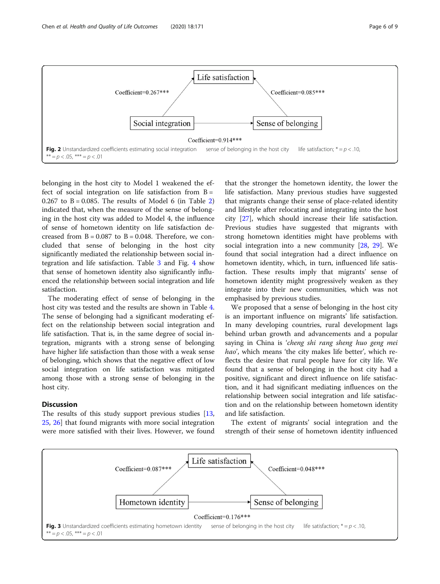<span id="page-5-0"></span>

belonging in the host city to Model 1 weakened the effect of social integration on life satisfaction from  $B =$ 0.[2](#page-4-0)67 to  $B = 0.085$ . The results of Model 6 (in Table 2) indicated that, when the measure of the sense of belonging in the host city was added to Model 4, the influence of sense of hometown identity on life satisfaction decreased from  $B = 0.087$  to  $B = 0.048$ . Therefore, we concluded that sense of belonging in the host city significantly mediated the relationship between social integration and life satisfaction. Table [3](#page-6-0) and Fig. [4](#page-6-0) show that sense of hometown identity also significantly influenced the relationship between social integration and life satisfaction.

The moderating effect of sense of belonging in the host city was tested and the results are shown in Table [4](#page-7-0). The sense of belonging had a significant moderating effect on the relationship between social integration and life satisfaction. That is, in the same degree of social integration, migrants with a strong sense of belonging have higher life satisfaction than those with a weak sense of belonging, which shows that the negative effect of low social integration on life satisfaction was mitigated among those with a strong sense of belonging in the host city.

## **Discussion**

The results of this study support previous studies [[13](#page-8-0), [25,](#page-8-0) [26\]](#page-8-0) that found migrants with more social integration were more satisfied with their lives. However, we found

that the stronger the hometown identity, the lower the life satisfaction. Many previous studies have suggested that migrants change their sense of place-related identity and lifestyle after relocating and integrating into the host city [[27](#page-8-0)], which should increase their life satisfaction. Previous studies have suggested that migrants with strong hometown identities might have problems with social integration into a new community [[28,](#page-8-0) [29](#page-8-0)]. We found that social integration had a direct influence on hometown identity, which, in turn, influenced life satisfaction. These results imply that migrants' sense of hometown identity might progressively weaken as they integrate into their new communities, which was not emphasised by previous studies.

We proposed that a sense of belonging in the host city is an important influence on migrants' life satisfaction. In many developing countries, rural development lags behind urban growth and advancements and a popular saying in China is 'cheng shi rang sheng huo geng mei hao', which means 'the city makes life better', which reflects the desire that rural people have for city life. We found that a sense of belonging in the host city had a positive, significant and direct influence on life satisfaction, and it had significant mediating influences on the relationship between social integration and life satisfaction and on the relationship between hometown identity and life satisfaction.

The extent of migrants' social integration and the strength of their sense of hometown identity influenced

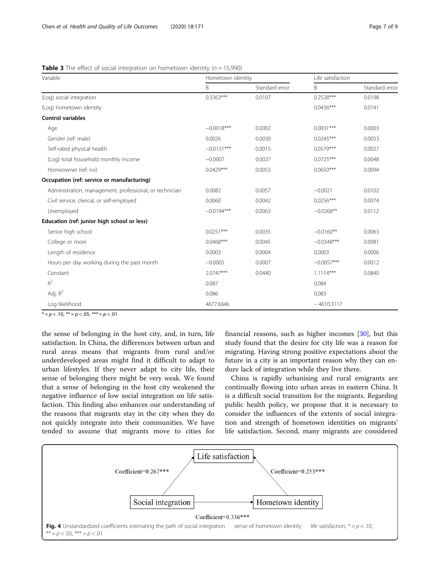<span id="page-6-0"></span>**Table 3** The effect of social integration on hometown identity ( $n = 15,990$ )

| Variable                                                | Hometown identity |                | Life satisfaction |                |
|---------------------------------------------------------|-------------------|----------------|-------------------|----------------|
|                                                         | B                 | Standard error | B                 | Standard error |
| (Log) social integration                                | $0.3363***$       | 0.0107         | $0.2528***$       | 0.0198         |
| (Log) hometown identity                                 |                   |                | $0.0436***$       | 0.0141         |
| <b>Control variables</b>                                |                   |                |                   |                |
| Age                                                     | $-0.0018***$      | 0.0002         | $0.0031***$       | 0.0003         |
| Gender (ref: male)                                      | 0.0026            | 0.0030         | $0.0245***$       | 0.0053         |
| Self-rated physical health                              | $-0.0131***$      | 0.0015         | $0.0579***$       | 0.0027         |
| (Log) total household monthly income                    | $-0.0007$         | 0.0027         | $0.0725***$       | 0.0048         |
| Homeowner (ref: no)                                     | $0.0429***$       | 0.0053         | $0.0650***$       | 0.0094         |
| Occupation (ref: service or manufacturing)              |                   |                |                   |                |
| Administration, management, professional, or technician | 0.0082            | 0.0057         | $-0.0021$         | 0.0102         |
| Civil service, clerical, or self-employed               | 0.0060            | 0.0042         | $0.0256***$       | 0.0074         |
| Unemployed                                              | $-0.0194***$      | 0.0063         | $-0.0268**$       | 0.0112         |
| Education (ref: junior high school or less)             |                   |                |                   |                |
| Senior high school                                      | $0.0251***$       | 0.0035         | $-0.0160**$       | 0.0063         |
| College or more                                         | $0.0468***$       | 0.0045         | $-0.0348***$      | 0.0081         |
| Length of residence                                     | 0.0003            | 0.0004         | 0.0003            | 0.0006         |
| Hours per day working during the past month             | $-0.0005$         | 0.0007         | $-0.0057***$      | 0.0012         |
| Constant                                                | 2.0747***         | 0.0440         | $1.1114***$       | 0.0840         |
| $\mathsf{R}^2$                                          | 0.087             |                | 0.084             |                |
| Adj. $R^2$                                              | 0.086             |                | 0.083             |                |
| Log likelihood                                          | 4677.6046         |                | $-4610.3117$      |                |

 $* = p < .10, ** = p < .05, ** = p < .01$ 

the sense of belonging in the host city, and, in turn, life satisfaction. In China, the differences between urban and rural areas means that migrants from rural and/or underdeveloped areas might find it difficult to adapt to urban lifestyles. If they never adapt to city life, their sense of belonging there might be very weak. We found that a sense of belonging in the host city weakened the negative influence of low social integration on life satisfaction. This finding also enhances our understanding of the reasons that migrants stay in the city when they do not quickly integrate into their communities. We have tended to assume that migrants move to cities for financial reasons, such as higher incomes [[30\]](#page-8-0), but this study found that the desire for city life was a reason for migrating. Having strong positive expectations about the future in a city is an important reason why they can endure lack of integration while they live there.

China is rapidly urbanising and rural emigrants are continually flowing into urban areas in eastern China. It is a difficult social transition for the migrants. Regarding public health policy, we propose that it is necessary to consider the influences of the extents of social integration and strength of hometown identities on migrants' life satisfaction. Second, many migrants are considered

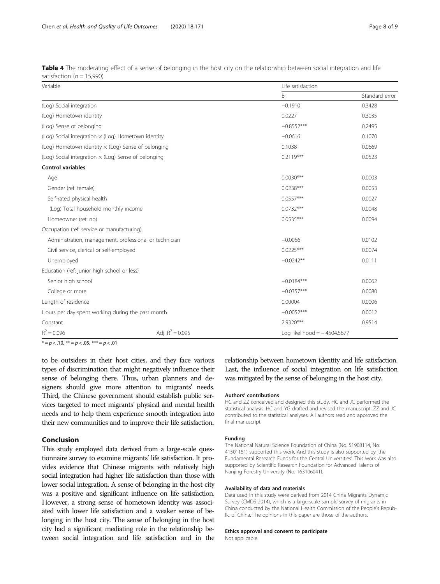<span id="page-7-0"></span>

| Table 4 The moderating effect of a sense of belonging in the host city on the relationship between social integration and life |  |  |  |  |  |  |
|--------------------------------------------------------------------------------------------------------------------------------|--|--|--|--|--|--|
| satisfaction ( $n = 15,990$ )                                                                                                  |  |  |  |  |  |  |

| Variable                                                   |                    | Life satisfaction             |                |  |  |
|------------------------------------------------------------|--------------------|-------------------------------|----------------|--|--|
|                                                            |                    | B                             | Standard error |  |  |
| (Log) Social integration                                   |                    | $-0.1910$                     | 0.3428         |  |  |
| (Log) Hometown identity                                    |                    | 0.0227                        | 0.3035         |  |  |
| (Log) Sense of belonging                                   |                    | $-0.8552***$                  | 0.2495         |  |  |
| (Log) Social integration $\times$ (Log) Hometown identity  |                    | $-0.0616$                     | 0.1070         |  |  |
| (Log) Hometown identity $\times$ (Log) Sense of belonging  |                    | 0.1038                        | 0.0669         |  |  |
| (Log) Social integration $\times$ (Log) Sense of belonging |                    | $0.2119***$                   | 0.0523         |  |  |
| <b>Control variables</b>                                   |                    |                               |                |  |  |
| Age                                                        |                    | $0.0030***$                   | 0.0003         |  |  |
| Gender (ref: female)                                       |                    | $0.0238***$                   | 0.0053         |  |  |
| Self-rated physical health                                 |                    | $0.0557***$                   | 0.0027         |  |  |
| (Log) Total household monthly income                       |                    | $0.0732***$                   | 0.0048         |  |  |
| Homeowner (ref: no)                                        |                    | $0.0535***$                   | 0.0094         |  |  |
| Occupation (ref: service or manufacturing)                 |                    |                               |                |  |  |
| Administration, management, professional or technician     |                    | $-0.0056$                     | 0.0102         |  |  |
| Civil service, clerical or self-employed                   |                    | $0.0225***$                   | 0.0074         |  |  |
| Unemployed                                                 |                    | $-0.0242**$                   | 0.0111         |  |  |
| Education (ref: junior high school or less)                |                    |                               |                |  |  |
| Senior high school                                         |                    | $-0.0184***$                  | 0.0062         |  |  |
| College or more                                            |                    | $-0.0357***$                  | 0.0080         |  |  |
| Length of residence                                        |                    | 0.00004                       | 0.0006         |  |  |
| Hours per day spent working during the past month          |                    | $-0.0052***$                  | 0.0012         |  |  |
| Constant                                                   |                    | 2.9320***                     | 0.9514         |  |  |
| $R^2 = 0.096$                                              | Adj. $R^2 = 0.095$ | Log likelihood = $-4504.5677$ |                |  |  |

 $\tilde{r} = p < .10, \; \tilde{r} = p < .05, \; \tilde{r} = p < .01$ 

to be outsiders in their host cities, and they face various types of discrimination that might negatively influence their sense of belonging there. Thus, urban planners and designers should give more attention to migrants' needs. Third, the Chinese government should establish public services targeted to meet migrants' physical and mental health needs and to help them experience smooth integration into their new communities and to improve their life satisfaction.

## Conclusion

This study employed data derived from a large-scale questionnaire survey to examine migrants' life satisfaction. It provides evidence that Chinese migrants with relatively high social integration had higher life satisfaction than those with lower social integration. A sense of belonging in the host city was a positive and significant influence on life satisfaction. However, a strong sense of hometown identity was associated with lower life satisfaction and a weaker sense of belonging in the host city. The sense of belonging in the host city had a significant mediating role in the relationship between social integration and life satisfaction and in the

relationship between hometown identity and life satisfaction. Last, the influence of social integration on life satisfaction was mitigated by the sense of belonging in the host city.

#### Authors' contributions

HC and ZZ conceived and designed this study. HC and JC performed the statistical analysis. HC and YG drafted and revised the manuscript. ZZ and JC contributed to the statistical analyses. All authors read and approved the final manuscript.

## Funding

The National Natural Science Foundation of China (No. 51908114, No. 41501151) supported this work. And this study is also supported by 'the Fundamental Research Funds for the Central Universities'. This work was also supported by Scientific Research Foundation for Advanced Talents of Nanjing Forestry University (No. 163106041).

#### Availability of data and materials

Data used in this study were derived from 2014 China Migrants Dynamic Survey (CMDS 2014), which is a large-scale sample survey of migrants in China conducted by the National Health Commission of the People's Republic of China. The opinions in this paper are those of the authors.

#### Ethics approval and consent to participate

Not applicable.